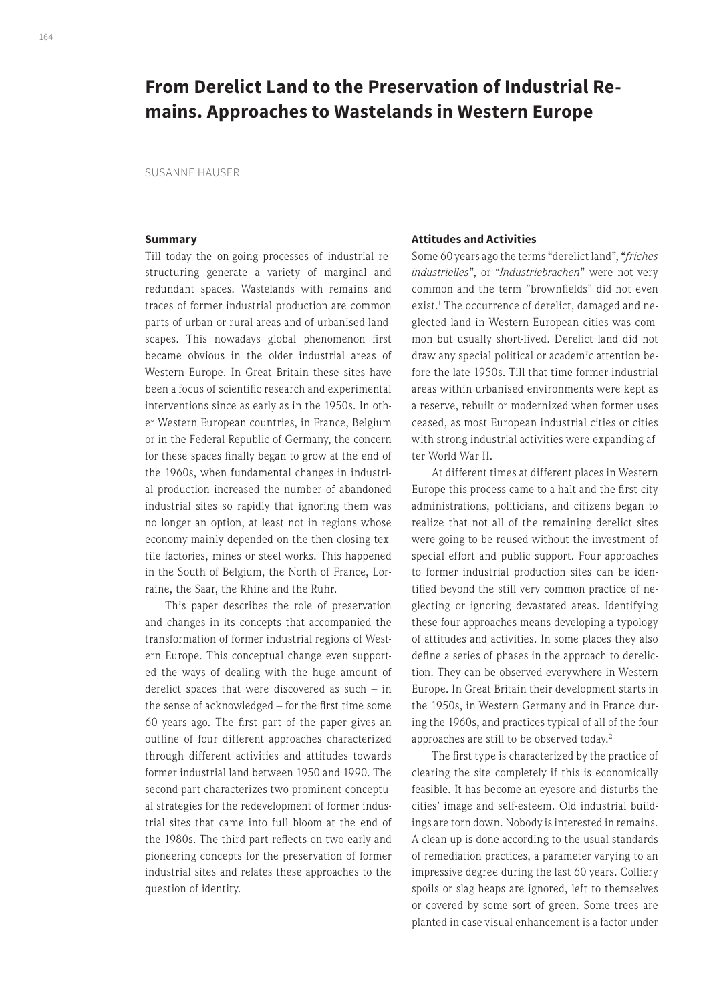# **From Derelict Land to the Preservation of Industrial Remains. Approaches to Wastelands in Western Europe**

SUSANNE HAUSER

# **Summary**

Till today the on-going processes of industrial restructuring generate a variety of marginal and redundant spaces. Wastelands with remains and traces of former industrial production are common parts of urban or rural areas and of urbanised landscapes. This nowadays global phenomenon first became obvious in the older industrial areas of Western Europe. In Great Britain these sites have been a focus of scientific research and experimental interventions since as early as in the 1950s. In other Western European countries, in France, Belgium or in the Federal Republic of Germany, the concern for these spaces finally began to grow at the end of the 1960s, when fundamental changes in industrial production increased the number of abandoned industrial sites so rapidly that ignoring them was no longer an option, at least not in regions whose economy mainly depended on the then closing textile factories, mines or steel works. This happened in the South of Belgium, the North of France, Lorraine, the Saar, the Rhine and the Ruhr.

This paper describes the role of preservation and changes in its concepts that accompanied the transformation of former industrial regions of Western Europe. This conceptual change even supported the ways of dealing with the huge amount of derelict spaces that were discovered as such – in the sense of acknowledged – for the first time some 60 years ago. The first part of the paper gives an outline of four different approaches characterized through different activities and attitudes towards former industrial land between 1950 and 1990. The second part characterizes two prominent conceptual strategies for the redevelopment of former industrial sites that came into full bloom at the end of the 1980s. The third part reflects on two early and pioneering concepts for the preservation of former industrial sites and relates these approaches to the question of identity.

#### **Attitudes and Activities**

Some 60 years ago the terms "derelict land", "*friches industrielles*", or "*Industriebrachen*" were not very common and the term "brownfields" did not even exist.<sup>1</sup> The occurrence of derelict, damaged and neglected land in Western European cities was common but usually short-lived. Derelict land did not draw any special political or academic attention before the late 1950s. Till that time former industrial areas within urbanised environments were kept as a reserve, rebuilt or modernized when former uses ceased, as most European industrial cities or cities with strong industrial activities were expanding after World War II.

At different times at different places in Western Europe this process came to a halt and the first city administrations, politicians, and citizens began to realize that not all of the remaining derelict sites were going to be reused without the investment of special effort and public support. Four approaches to former industrial production sites can be identified beyond the still very common practice of neglecting or ignoring devastated areas. Identifying these four approaches means developing a typology of attitudes and activities. In some places they also define a series of phases in the approach to dereliction. They can be observed everywhere in Western Europe. In Great Britain their development starts in the 1950s, in Western Germany and in France during the 1960s, and practices typical of all of the four approaches are still to be observed today.2

The first type is characterized by the practice of clearing the site completely if this is economically feasible. It has become an eyesore and disturbs the cities' image and self-esteem. Old industrial buildings are torn down. Nobody is interested in remains. A clean-up is done according to the usual standards of remediation practices, a parameter varying to an impressive degree during the last 60 years. Colliery spoils or slag heaps are ignored, left to themselves or covered by some sort of green. Some trees are planted in case visual enhancement is a factor under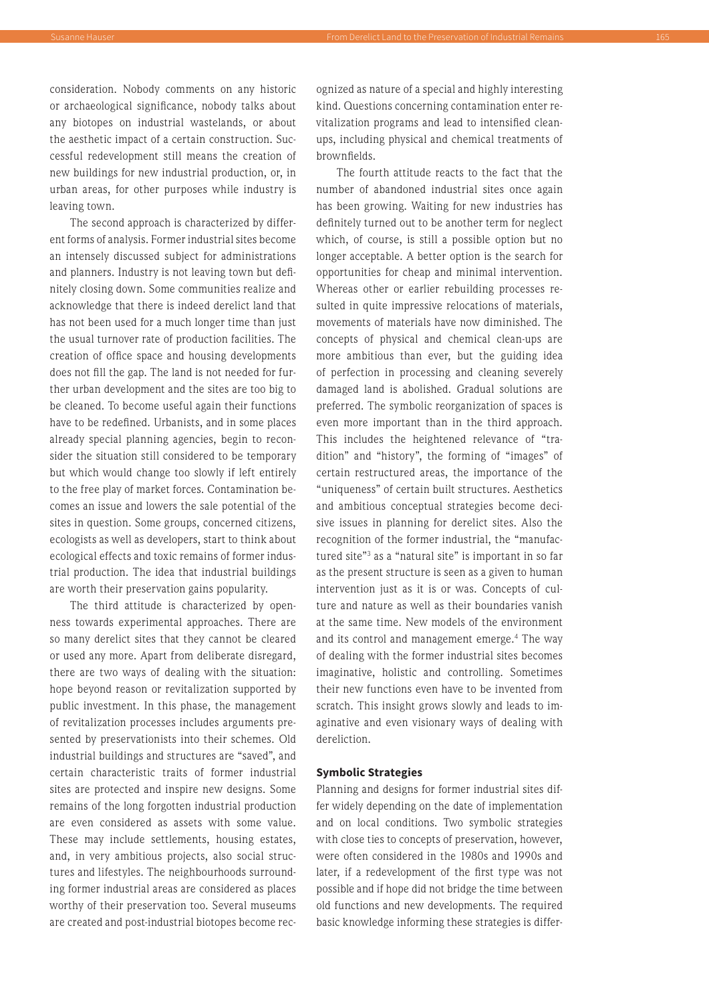consideration. Nobody comments on any historic or archaeological significance, nobody talks about any biotopes on industrial wastelands, or about the aesthetic impact of a certain construction. Successful redevelopment still means the creation of new buildings for new industrial production, or, in urban areas, for other purposes while industry is leaving town.

The second approach is characterized by different forms of analysis. Former industrial sites become an intensely discussed subject for administrations and planners. Industry is not leaving town but definitely closing down. Some communities realize and acknowledge that there is indeed derelict land that has not been used for a much longer time than just the usual turnover rate of production facilities. The creation of office space and housing developments does not fill the gap. The land is not needed for further urban development and the sites are too big to be cleaned. To become useful again their functions have to be redefined. Urbanists, and in some places already special planning agencies, begin to reconsider the situation still considered to be temporary but which would change too slowly if left entirely to the free play of market forces. Contamination becomes an issue and lowers the sale potential of the sites in question. Some groups, concerned citizens, ecologists as well as developers, start to think about ecological effects and toxic remains of former industrial production. The idea that industrial buildings are worth their preservation gains popularity.

The third attitude is characterized by openness towards experimental approaches. There are so many derelict sites that they cannot be cleared or used any more. Apart from deliberate disregard, there are two ways of dealing with the situation: hope beyond reason or revitalization supported by public investment. In this phase, the management of revitalization processes includes arguments presented by preservationists into their schemes. Old industrial buildings and structures are "saved", and certain characteristic traits of former industrial sites are protected and inspire new designs. Some remains of the long forgotten industrial production are even considered as assets with some value. These may include settlements, housing estates, and, in very ambitious projects, also social structures and lifestyles. The neighbourhoods surrounding former industrial areas are considered as places worthy of their preservation too. Several museums are created and post-industrial biotopes become recognized as nature of a special and highly interesting kind. Questions concerning contamination enter revitalization programs and lead to intensified cleanups, including physical and chemical treatments of brownfields.

The fourth attitude reacts to the fact that the number of abandoned industrial sites once again has been growing. Waiting for new industries has definitely turned out to be another term for neglect which, of course, is still a possible option but no longer acceptable. A better option is the search for opportunities for cheap and minimal intervention. Whereas other or earlier rebuilding processes resulted in quite impressive relocations of materials, movements of materials have now diminished. The concepts of physical and chemical clean-ups are more ambitious than ever, but the guiding idea of perfection in processing and cleaning severely damaged land is abolished. Gradual solutions are preferred. The symbolic reorganization of spaces is even more important than in the third approach. This includes the heightened relevance of "tradition" and "history", the forming of "images" of certain restructured areas, the importance of the "uniqueness" of certain built structures. Aesthetics and ambitious conceptual strategies become decisive issues in planning for derelict sites. Also the recognition of the former industrial, the "manufactured site"<sup>3</sup> as a "natural site" is important in so far as the present structure is seen as a given to human intervention just as it is or was. Concepts of culture and nature as well as their boundaries vanish at the same time. New models of the environment and its control and management emerge.<sup>4</sup> The way of dealing with the former industrial sites becomes imaginative, holistic and controlling. Sometimes their new functions even have to be invented from scratch. This insight grows slowly and leads to imaginative and even visionary ways of dealing with dereliction.

# **Symbolic Strategies**

Planning and designs for former industrial sites differ widely depending on the date of implementation and on local conditions. Two symbolic strategies with close ties to concepts of preservation, however, were often considered in the 1980s and 1990s and later, if a redevelopment of the first type was not possible and if hope did not bridge the time between old functions and new developments. The required basic knowledge informing these strategies is differ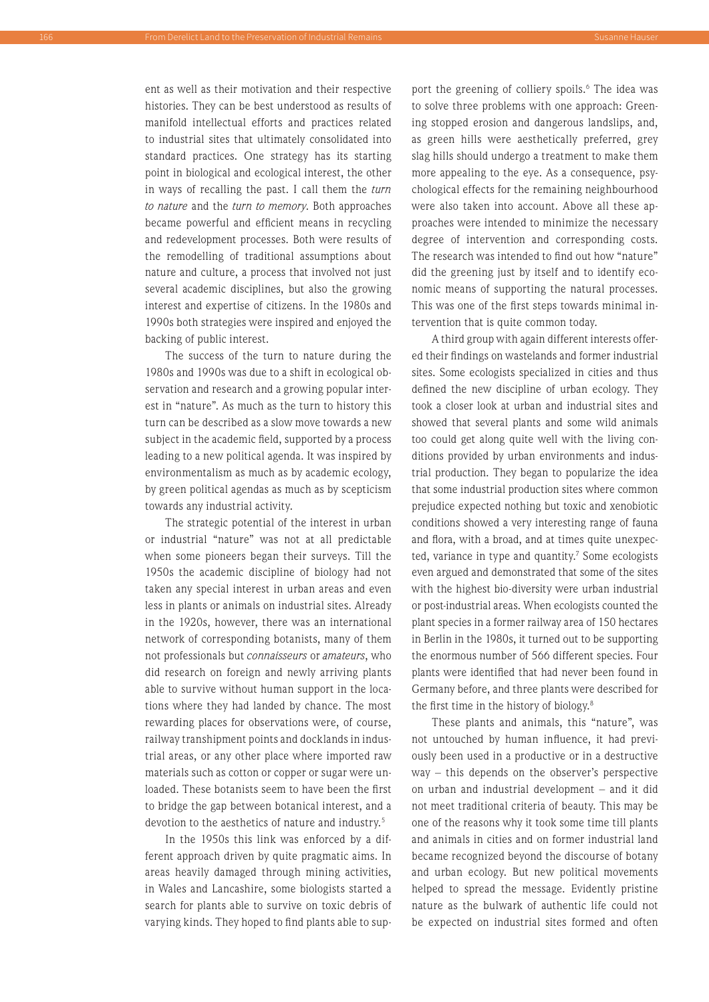ent as well as their motivation and their respective histories. They can be best understood as results of manifold intellectual efforts and practices related to industrial sites that ultimately consolidated into standard practices. One strategy has its starting point in biological and ecological interest, the other in ways of recalling the past. I call them the *turn to nature* and the *turn to memory*. Both approaches became powerful and efficient means in recycling and redevelopment processes. Both were results of the remodelling of traditional assumptions about nature and culture, a process that involved not just several academic disciplines, but also the growing interest and expertise of citizens. In the 1980s and 1990s both strategies were inspired and enjoyed the backing of public interest.

The success of the turn to nature during the 1980s and 1990s was due to a shift in ecological observation and research and a growing popular interest in "nature". As much as the turn to history this turn can be described as a slow move towards a new subject in the academic field, supported by a process leading to a new political agenda. It was inspired by environmentalism as much as by academic ecology, by green political agendas as much as by scepticism towards any industrial activity.

The strategic potential of the interest in urban or industrial "nature" was not at all predictable when some pioneers began their surveys. Till the 1950s the academic discipline of biology had not taken any special interest in urban areas and even less in plants or animals on industrial sites. Already in the 1920s, however, there was an international network of corresponding botanists, many of them not professionals but *connaisseurs* or *amateurs*, who did research on foreign and newly arriving plants able to survive without human support in the locations where they had landed by chance. The most rewarding places for observations were, of course, railway transhipment points and docklands in industrial areas, or any other place where imported raw materials such as cotton or copper or sugar were unloaded. These botanists seem to have been the first to bridge the gap between botanical interest, and a devotion to the aesthetics of nature and industry.<sup>5</sup>

In the 1950s this link was enforced by a different approach driven by quite pragmatic aims. In areas heavily damaged through mining activities, in Wales and Lancashire, some biologists started a search for plants able to survive on toxic debris of varying kinds. They hoped to find plants able to sup-

port the greening of colliery spoils.<sup>6</sup> The idea was to solve three problems with one approach: Greening stopped erosion and dangerous landslips, and, as green hills were aesthetically preferred, grey slag hills should undergo a treatment to make them more appealing to the eye. As a consequence, psychological effects for the remaining neighbourhood were also taken into account. Above all these approaches were intended to minimize the necessary degree of intervention and corresponding costs. The research was intended to find out how "nature" did the greening just by itself and to identify economic means of supporting the natural processes. This was one of the first steps towards minimal intervention that is quite common today.

A third group with again different interests offered their findings on wastelands and former industrial sites. Some ecologists specialized in cities and thus defined the new discipline of urban ecology. They took a closer look at urban and industrial sites and showed that several plants and some wild animals too could get along quite well with the living conditions provided by urban environments and industrial production. They began to popularize the idea that some industrial production sites where common prejudice expected nothing but toxic and xenobiotic conditions showed a very interesting range of fauna and flora, with a broad, and at times quite unexpected, variance in type and quantity.<sup>7</sup> Some ecologists even argued and demonstrated that some of the sites with the highest bio-diversity were urban industrial or post-industrial areas. When ecologists counted the plant species in a former railway area of 150 hectares in Berlin in the 1980s, it turned out to be supporting the enormous number of 566 different species. Four plants were identified that had never been found in Germany before, and three plants were described for the first time in the history of biology.8

These plants and animals, this "nature", was not untouched by human influence, it had previously been used in a productive or in a destructive way – this depends on the observer's perspective on urban and industrial development – and it did not meet traditional criteria of beauty. This may be one of the reasons why it took some time till plants and animals in cities and on former industrial land became recognized beyond the discourse of botany and urban ecology. But new political movements helped to spread the message. Evidently pristine nature as the bulwark of authentic life could not be expected on industrial sites formed and often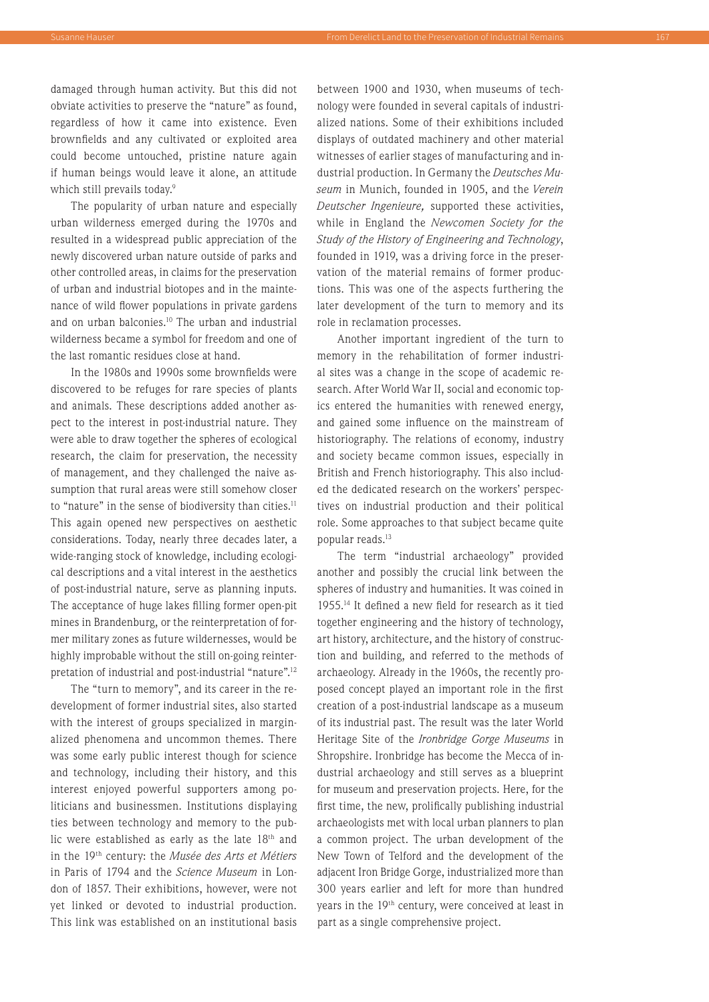damaged through human activity. But this did not obviate activities to preserve the "nature" as found, regardless of how it came into existence. Even brownfields and any cultivated or exploited area could become untouched, pristine nature again if human beings would leave it alone, an attitude which still prevails today.<sup>9</sup>

The popularity of urban nature and especially urban wilderness emerged during the 1970s and resulted in a widespread public appreciation of the newly discovered urban nature outside of parks and other controlled areas, in claims for the preservation of urban and industrial biotopes and in the maintenance of wild flower populations in private gardens and on urban balconies.10 The urban and industrial wilderness became a symbol for freedom and one of the last romantic residues close at hand.

In the 1980s and 1990s some brownfields were discovered to be refuges for rare species of plants and animals. These descriptions added another aspect to the interest in post-industrial nature. They were able to draw together the spheres of ecological research, the claim for preservation, the necessity of management, and they challenged the naive assumption that rural areas were still somehow closer to "nature" in the sense of biodiversity than cities.<sup>11</sup> This again opened new perspectives on aesthetic considerations. Today, nearly three decades later, a wide-ranging stock of knowledge, including ecological descriptions and a vital interest in the aesthetics of post-industrial nature, serve as planning inputs. The acceptance of huge lakes filling former open-pit mines in Brandenburg, or the reinterpretation of former military zones as future wildernesses, would be highly improbable without the still on-going reinterpretation of industrial and post-industrial "nature".12

The "turn to memory", and its career in the redevelopment of former industrial sites, also started with the interest of groups specialized in marginalized phenomena and uncommon themes. There was some early public interest though for science and technology, including their history, and this interest enjoyed powerful supporters among politicians and businessmen. Institutions displaying ties between technology and memory to the public were established as early as the late 18<sup>th</sup> and in the 19th century: the *Musée des Arts et Métiers* in Paris of 1794 and the *Science Museum* in London of 1857. Their exhibitions, however, were not yet linked or devoted to industrial production. This link was established on an institutional basis

between 1900 and 1930, when museums of technology were founded in several capitals of industrialized nations. Some of their exhibitions included displays of outdated machinery and other material witnesses of earlier stages of manufacturing and industrial production. In Germany the *Deutsches Museum* in Munich, founded in 1905, and the *Verein Deutscher Ingenieure,* supported these activities, while in England the *Newcomen Society for the Study of the History of Engineering and Technology*, founded in 1919, was a driving force in the preservation of the material remains of former productions. This was one of the aspects furthering the later development of the turn to memory and its role in reclamation processes.

Another important ingredient of the turn to memory in the rehabilitation of former industrial sites was a change in the scope of academic research. After World War II, social and economic topics entered the humanities with renewed energy, and gained some influence on the mainstream of historiography. The relations of economy, industry and society became common issues, especially in British and French historiography. This also included the dedicated research on the workers' perspectives on industrial production and their political role. Some approaches to that subject became quite popular reads.13

The term "industrial archaeology" provided another and possibly the crucial link between the spheres of industry and humanities. It was coined in 1955.14 It defined a new field for research as it tied together engineering and the history of technology, art history, architecture, and the history of construction and building, and referred to the methods of archaeology. Already in the 1960s, the recently proposed concept played an important role in the first creation of a post-industrial landscape as a museum of its industrial past. The result was the later World Heritage Site of the *Ironbridge Gorge Museums* in Shropshire. Ironbridge has become the Mecca of industrial archaeology and still serves as a blueprint for museum and preservation projects. Here, for the first time, the new, prolifically publishing industrial archaeologists met with local urban planners to plan a common project. The urban development of the New Town of Telford and the development of the adjacent Iron Bridge Gorge, industrialized more than 300 years earlier and left for more than hundred years in the 19th century, were conceived at least in part as a single comprehensive project.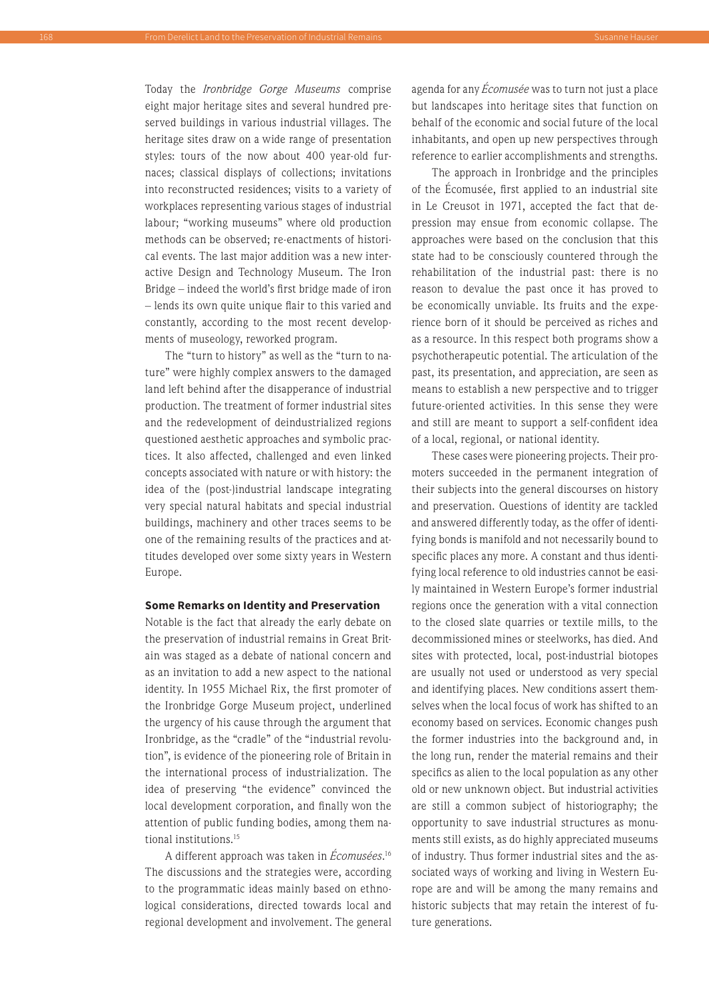Today the *Ironbridge Gorge Museums* comprise eight major heritage sites and several hundred preserved buildings in various industrial villages. The heritage sites draw on a wide range of presentation styles: tours of the now about 400 year-old furnaces; classical displays of collections; invitations into reconstructed residences; visits to a variety of workplaces representing various stages of industrial labour; "working museums" where old production methods can be observed; re-enactments of historical events. The last major addition was a new interactive Design and Technology Museum. The Iron Bridge – indeed the world's first bridge made of iron – lends its own quite unique flair to this varied and constantly, according to the most recent developments of museology, reworked program.

The "turn to history" as well as the "turn to nature" were highly complex answers to the damaged land left behind after the disapperance of industrial production. The treatment of former industrial sites and the redevelopment of deindustrialized regions questioned aesthetic approaches and symbolic practices. It also affected, challenged and even linked concepts associated with nature or with history: the idea of the (post-)industrial landscape integrating very special natural habitats and special industrial buildings, machinery and other traces seems to be one of the remaining results of the practices and attitudes developed over some sixty years in Western Europe.

# **Some Remarks on Identity and Preservation**

Notable is the fact that already the early debate on the preservation of industrial remains in Great Britain was staged as a debate of national concern and as an invitation to add a new aspect to the national identity. In 1955 Michael Rix, the first promoter of the Ironbridge Gorge Museum project, underlined the urgency of his cause through the argument that Ironbridge, as the "cradle" of the "industrial revolution", is evidence of the pioneering role of Britain in the international process of industrialization. The idea of preserving "the evidence" convinced the local development corporation, and finally won the attention of public funding bodies, among them national institutions.<sup>15</sup>

A different approach was taken in *Écomusées*. 16 The discussions and the strategies were, according to the programmatic ideas mainly based on ethnological considerations, directed towards local and regional development and involvement. The general agenda for any *Écomusée* was to turn not just a place but landscapes into heritage sites that function on behalf of the economic and social future of the local inhabitants, and open up new perspectives through reference to earlier accomplishments and strengths.

The approach in Ironbridge and the principles of the Écomusée, first applied to an industrial site in Le Creusot in 1971, accepted the fact that depression may ensue from economic collapse. The approaches were based on the conclusion that this state had to be consciously countered through the rehabilitation of the industrial past: there is no reason to devalue the past once it has proved to be economically unviable. Its fruits and the experience born of it should be perceived as riches and as a resource. In this respect both programs show a psychotherapeutic potential. The articulation of the past, its presentation, and appreciation, are seen as means to establish a new perspective and to trigger future-oriented activities. In this sense they were and still are meant to support a self-confident idea of a local, regional, or national identity.

These cases were pioneering projects. Their promoters succeeded in the permanent integration of their subjects into the general discourses on history and preservation. Questions of identity are tackled and answered differently today, as the offer of identifying bonds is manifold and not necessarily bound to specific places any more. A constant and thus identifying local reference to old industries cannot be easily maintained in Western Europe's former industrial regions once the generation with a vital connection to the closed slate quarries or textile mills, to the decommissioned mines or steelworks, has died. And sites with protected, local, post-industrial biotopes are usually not used or understood as very special and identifying places. New conditions assert themselves when the local focus of work has shifted to an economy based on services. Economic changes push the former industries into the background and, in the long run, render the material remains and their specifics as alien to the local population as any other old or new unknown object. But industrial activities are still a common subject of historiography; the opportunity to save industrial structures as monuments still exists, as do highly appreciated museums of industry. Thus former industrial sites and the associated ways of working and living in Western Europe are and will be among the many remains and historic subjects that may retain the interest of future generations.